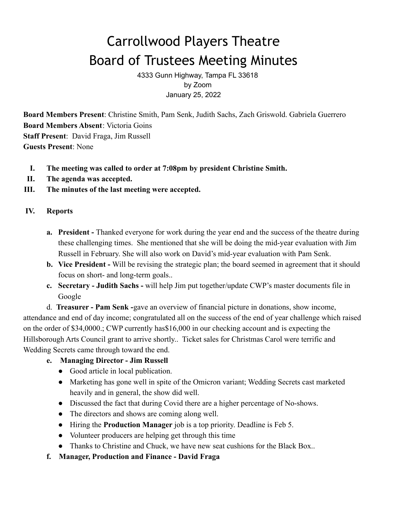# Carrollwood Players Theatre Board of Trustees Meeting Minutes

4333 Gunn Highway, Tampa FL 33618 by Zoom January 25, 2022

**Board Members Present**: Christine Smith, Pam Senk, Judith Sachs, Zach Griswold. Gabriela Guerrero **Board Members Absent**: Victoria Goins **Staff Present**: David Fraga, Jim Russell **Guests Present**: None

- **I. The meeting was called to order at 7:08pm by president Christine Smith.**
- **II. The agenda was accepted.**
- **III. The minutes of the last meeting were accepted.**

## **IV. Reports**

- **a. President -** Thanked everyone for work during the year end and the success of the theatre during these challenging times. She mentioned that she will be doing the mid-year evaluation with Jim Russell in February. She will also work on David's mid-year evaluation with Pam Senk.
- **b. Vice President -** Will be revising the strategic plan; the board seemed in agreement that it should focus on short- and long-term goals..
- **c. Secretary Judith Sachs -** will help Jim put together/update CWP's master documents file in Google

d. **Treasurer - Pam Senk -**gave an overview of financial picture in donations, show income, attendance and end of day income; congratulated all on the success of the end of year challenge which raised on the order of \$34,0000.; CWP currently has\$16,000 in our checking account and is expecting the Hillsborough Arts Council grant to arrive shortly.. Ticket sales for Christmas Carol were terrific and Wedding Secrets came through toward the end.

- **e. Managing Director Jim Russell**
	- Good article in local publication.
	- Marketing has gone well in spite of the Omicron variant; Wedding Secrets cast marketed heavily and in general, the show did well.
	- Discussed the fact that during Covid there are a higher percentage of No-shows.
	- The directors and shows are coming along well.
	- Hiring the **Production Manager** job is a top priority. Deadline is Feb 5.
	- Volunteer producers are helping get through this time
	- Thanks to Christine and Chuck, we have new seat cushions for the Black Box..
- **f. Manager, Production and Finance David Fraga**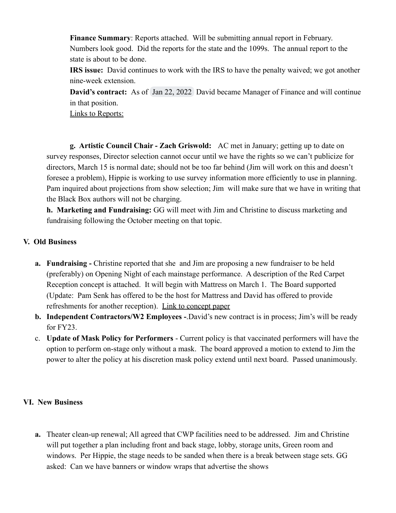**Finance Summary**: Reports attached. Will be submitting annual report in February. Numbers look good. Did the reports for the state and the 1099s. The annual report to the state is about to be done.

**IRS issue:** David continues to work with the IRS to have the penalty waived; we got another nine-week extension.

**David's contract:** As of Jan 22, 2022 David became Manager of Finance and will continue in that position.

Links to Reports:

**g. Artistic Council Chair - Zach Griswold:** AC met in January; getting up to date on survey responses, Director selection cannot occur until we have the rights so we can't publicize for directors, March 15 is normal date; should not be too far behind (Jim will work on this and doesn't foresee a problem), Hippie is working to use survey information more efficiently to use in planning. Pam inquired about projections from show selection; Jim will make sure that we have in writing that the Black Box authors will not be charging.

**h. Marketing and Fundraising:** GG will meet with Jim and Christine to discuss marketing and fundraising following the October meeting on that topic.

### **V. Old Business**

- **a. Fundraising -** Christine reported that she and Jim are proposing a new fundraiser to be held (preferably) on Opening Night of each mainstage performance. A description of the Red Carpet Reception concept is attached. It will begin with Mattress on March 1. The Board supported (Update: Pam Senk has offered to be the host for Mattress and David has offered to provide refreshments for another reception). Link to concept paper
- **b. Independent Contractors/W2 Employees -**.David's new contract is in process; Jim's will be ready for FY23.
- c. **Update of Mask Policy for Performers** Current policy is that vaccinated performers will have the option to perform on-stage only without a mask. The board approved a motion to extend to Jim the power to alter the policy at his discretion mask policy extend until next board. Passed unanimously.

### **VI. New Business**

**a.** Theater clean-up renewal; All agreed that CWP facilities need to be addressed. Jim and Christine will put together a plan including front and back stage, lobby, storage units, Green room and windows. Per Hippie, the stage needs to be sanded when there is a break between stage sets. GG asked: Can we have banners or window wraps that advertise the shows